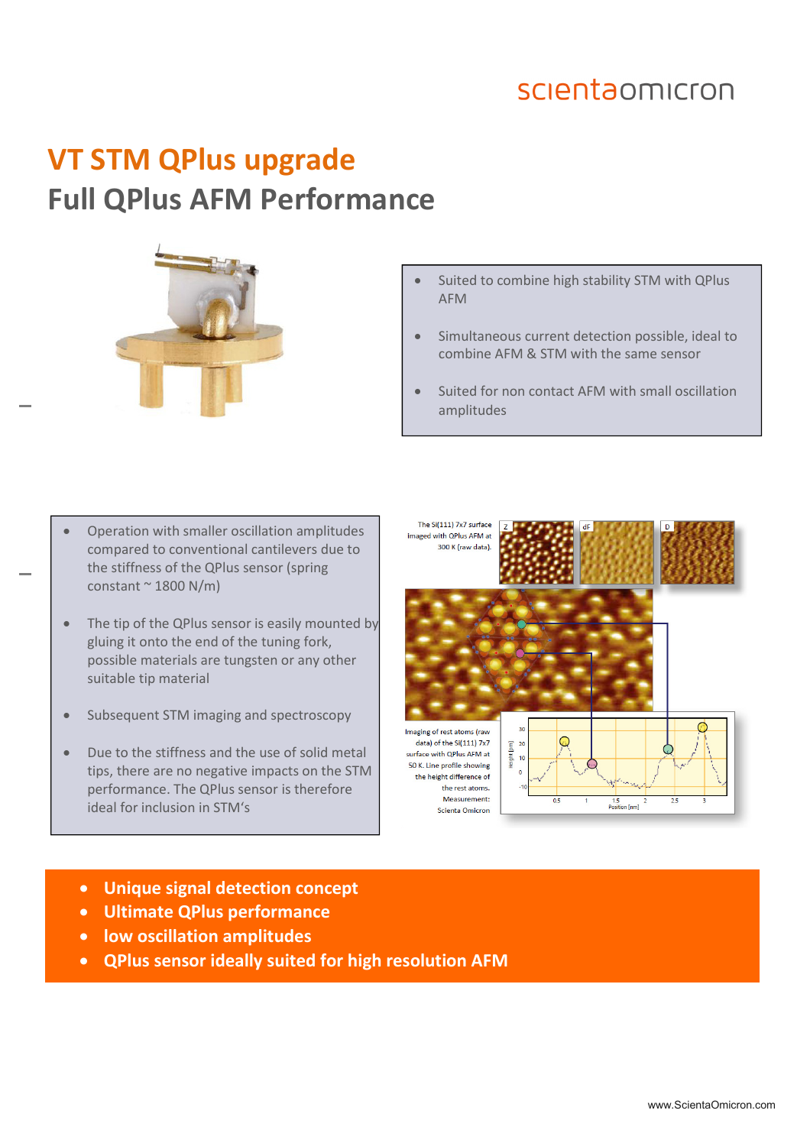### scientaomicron

# **VT STM QPlus upgrade Full QPlus AFM Performance**



- Suited to combine high stability STM with QPlus AFM
- Simultaneous current detection possible, ideal to combine AFM & STM with the same sensor
- Suited for non contact AFM with small oscillation amplitudes
- Operation with smaller oscillation amplitudes compared to conventional cantilevers due to the stiffness of the QPlus sensor (spring constant  $\sim$  1800 N/m)
- The tip of the QPlus sensor is easily mounted by gluing it onto the end of the tuning fork, possible materials are tungsten or any other suitable tip material
- Subsequent STM imaging and spectroscopy
- Due to the stiffness and the use of solid metal tips, there are no negative impacts on the STM performance. The QPlus sensor is therefore ideal for inclusion in STM's



- **Unique signal detection concept**
- **Ultimate QPlus performance**
- **low oscillation amplitudes**
- **QPlus sensor ideally suited for high resolution AFM**